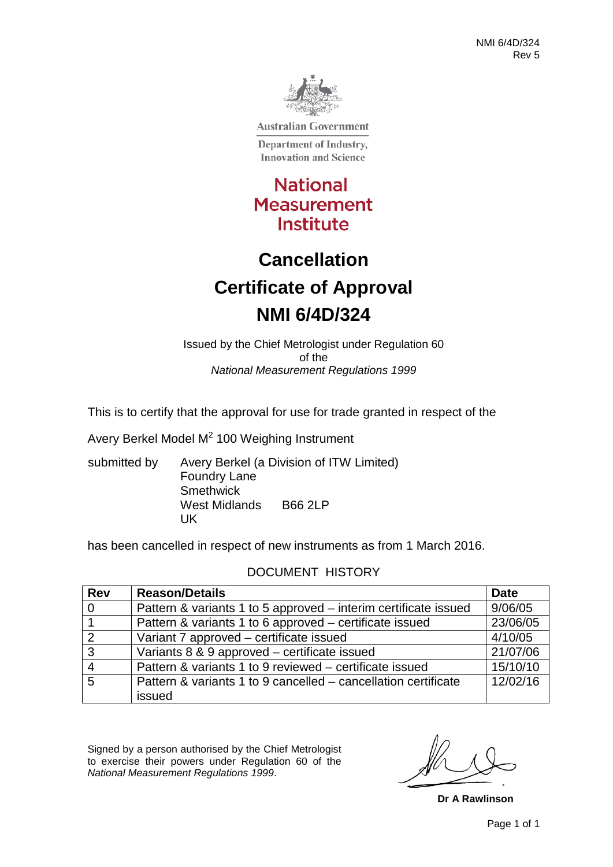

**Australian Government** 

Department of Industry, **Innovation and Science** 

**National Measurement** Institute

# **Cancellation Certificate of Approval NMI 6/4D/324**

Issued by the Chief Metrologist under Regulation 60 of the *National Measurement Regulations 1999*

This is to certify that the approval for use for trade granted in respect of the

Avery Berkel Model M<sup>2</sup> 100 Weighing Instrument

submitted by Avery Berkel (a Division of ITW Limited) Foundry Lane **Smethwick** West Midlands B66 2LP UK

has been cancelled in respect of new instruments as from 1 March 2016.

#### DOCUMENT HISTORY

| <b>Rev</b>     | <b>Reason/Details</b>                                           | <b>Date</b> |
|----------------|-----------------------------------------------------------------|-------------|
| $\mathbf 0$    | Pattern & variants 1 to 5 approved – interim certificate issued | 9/06/05     |
|                | Pattern & variants 1 to 6 approved – certificate issued         | 23/06/05    |
| 2              | Variant 7 approved – certificate issued                         | 4/10/05     |
| $\overline{3}$ | Variants 8 & 9 approved – certificate issued                    | 21/07/06    |
|                | Pattern & variants 1 to 9 reviewed – certificate issued         | 15/10/10    |
| 5              | Pattern & variants 1 to 9 cancelled – cancellation certificate  | 12/02/16    |
|                | issued                                                          |             |

Signed by a person authorised by the Chief Metrologist to exercise their powers under Regulation 60 of the *National Measurement Regulations 1999*.

**Dr A Rawlinson**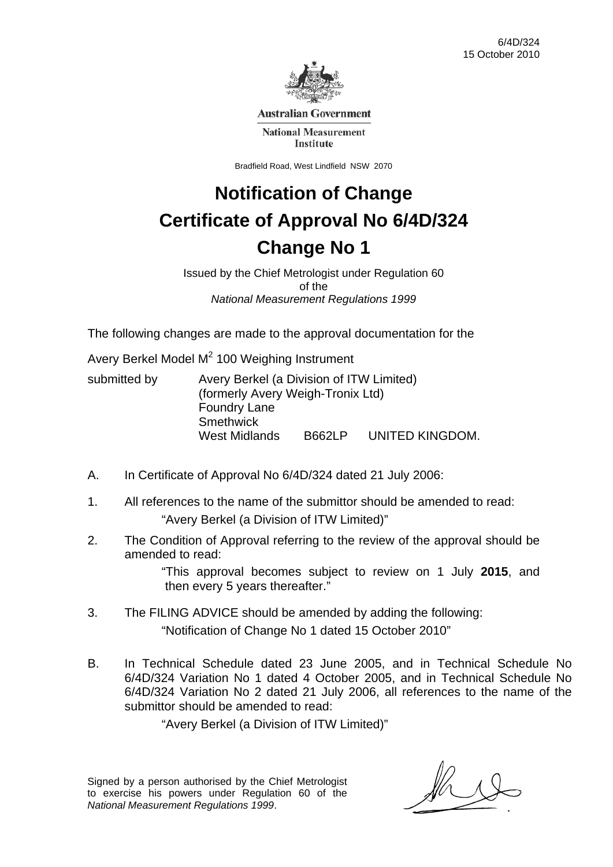

**Australian Government** 

**National Measurement Institute** 

Bradfield Road, West Lindfield NSW 2070

# **Notification of Change Certificate of Approval No 6/4D/324 Change No 1**

Issued by the Chief Metrologist under Regulation 60 of the *National Measurement Regulations 1999* 

The following changes are made to the approval documentation for the

Avery Berkel Model  $M^2$  100 Weighing Instrument

| submitted by | Avery Berkel (a Division of ITW Limited) |               |                 |
|--------------|------------------------------------------|---------------|-----------------|
|              | (formerly Avery Weigh-Tronix Ltd)        |               |                 |
|              | <b>Foundry Lane</b>                      |               |                 |
|              | Smethwick                                |               |                 |
|              | West Midlands                            | <b>B662LP</b> | UNITED KINGDOM. |

- A. In Certificate of Approval No 6/4D/324 dated 21 July 2006:
- 1. All references to the name of the submittor should be amended to read: "Avery Berkel (a Division of ITW Limited)"
- 2. The Condition of Approval referring to the review of the approval should be amended to read:

 "This approval becomes subject to review on 1 July **2015**, and then every 5 years thereafter."

- 3. The FILING ADVICE should be amended by adding the following: "Notification of Change No 1 dated 15 October 2010"
- B. In Technical Schedule dated 23 June 2005, and in Technical Schedule No 6/4D/324 Variation No 1 dated 4 October 2005, and in Technical Schedule No 6/4D/324 Variation No 2 dated 21 July 2006, all references to the name of the submittor should be amended to read:

"Avery Berkel (a Division of ITW Limited)"

Signed by a person authorised by the Chief Metrologist to exercise his powers under Regulation 60 of the *National Measurement Regulations 1999*.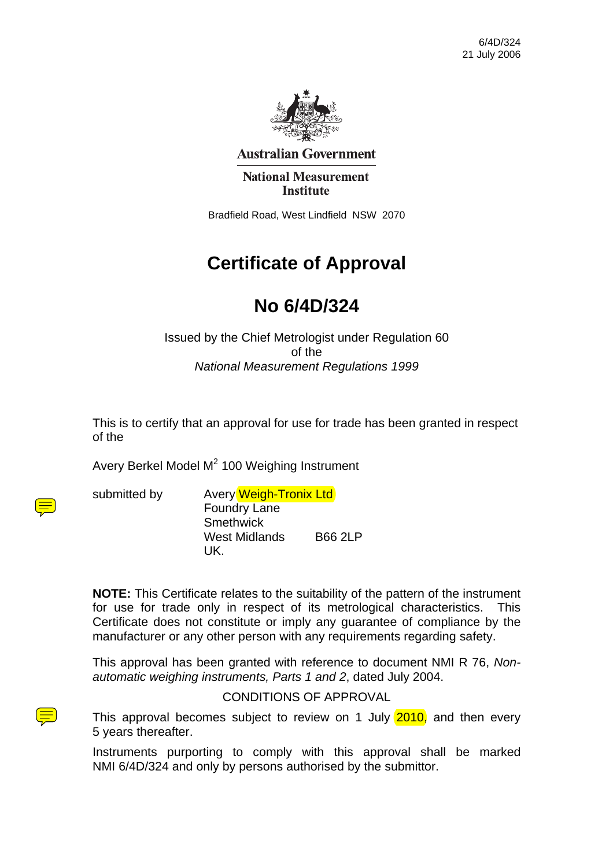

**Australian Government** 

**National Measurement Institute** 

Bradfield Road, West Lindfield NSW 2070

## **Certificate of Approval**

## **No 6/4D/324**

Issued by the Chief Metrologist under Regulation 60 of the *National Measurement Regulations 1999* 

This is to certify that an approval for use for trade has been granted in respect of the

Avery Berkel Model M<sup>2</sup> 100 Weighing Instrument

 $\textcircled{\Xi}$ 

submitted by Avery Weigh-Tronix Ltd Foundry Lane **Smethwick** West Midlands B66 2LP UK.

**NOTE:** This Certificate relates to the suitability of the pattern of the instrument for use for trade only in respect of its metrological characteristics. This Certificate does not constitute or imply any guarantee of compliance by the manufacturer or any other person with any requirements regarding safety.

This approval has been granted with reference to document NMI R 76, *Nonautomatic weighing instruments, Parts 1 and 2*, dated July 2004.

CONDITIONS OF APPROVAL

This approval becomes subject to review on 1 July 2010, and then every 5 years thereafter.

Instruments purporting to comply with this approval shall be marked NMI 6/4D/324 and only by persons authorised by the submittor.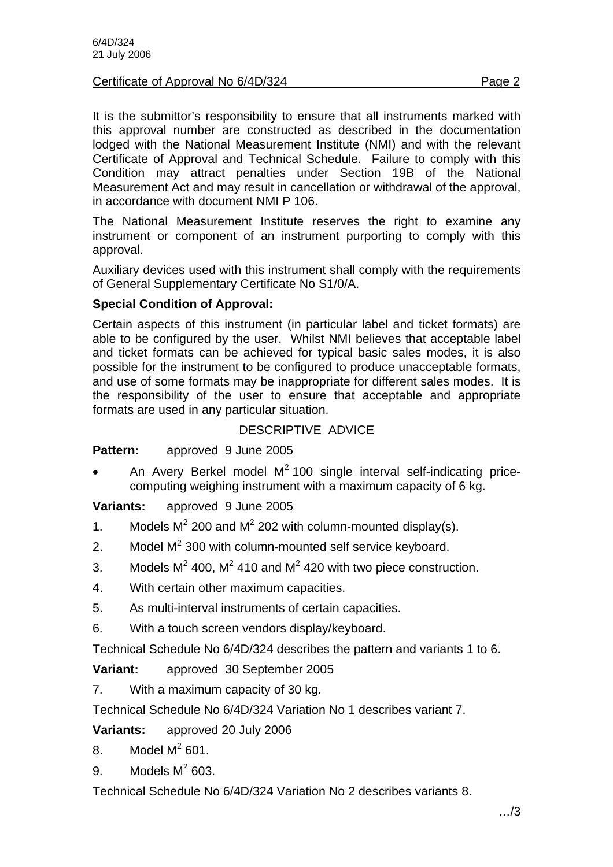#### Certificate of Approval No 6/4D/324 **Page 2** Page 2

It is the submittor's responsibility to ensure that all instruments marked with this approval number are constructed as described in the documentation lodged with the National Measurement Institute (NMI) and with the relevant Certificate of Approval and Technical Schedule. Failure to comply with this Condition may attract penalties under Section 19B of the National Measurement Act and may result in cancellation or withdrawal of the approval, in accordance with document NMI P 106.

The National Measurement Institute reserves the right to examine any instrument or component of an instrument purporting to comply with this approval.

Auxiliary devices used with this instrument shall comply with the requirements of General Supplementary Certificate No S1/0/A.

#### **Special Condition of Approval:**

Certain aspects of this instrument (in particular label and ticket formats) are able to be configured by the user. Whilst NMI believes that acceptable label and ticket formats can be achieved for typical basic sales modes, it is also possible for the instrument to be configured to produce unacceptable formats, and use of some formats may be inappropriate for different sales modes. It is the responsibility of the user to ensure that acceptable and appropriate formats are used in any particular situation.

#### DESCRIPTIVE ADVICE

#### **Pattern:** approved 9 June 2005

• An Avery Berkel model  $M^2$  100 single interval self-indicating pricecomputing weighing instrument with a maximum capacity of 6 kg.

**Variants:** approved 9 June 2005

- 1. Models  $M^2$  200 and  $M^2$  202 with column-mounted display(s).
- 2. Model  $M^2$  300 with column-mounted self service keyboard.
- 3. Models  $M^2$  400,  $M^2$  410 and  $M^2$  420 with two piece construction.
- 4. With certain other maximum capacities.
- 5. As multi-interval instruments of certain capacities.
- 6. With a touch screen vendors display/keyboard.

Technical Schedule No 6/4D/324 describes the pattern and variants 1 to 6.

**Variant:** approved 30 September 2005

7. With a maximum capacity of 30 kg.

Technical Schedule No 6/4D/324 Variation No 1 describes variant 7.

**Variants:** approved 20 July 2006

- 8. Model  $M^2$  601.
- 9. Models  $M^2$  603.

Technical Schedule No 6/4D/324 Variation No 2 describes variants 8.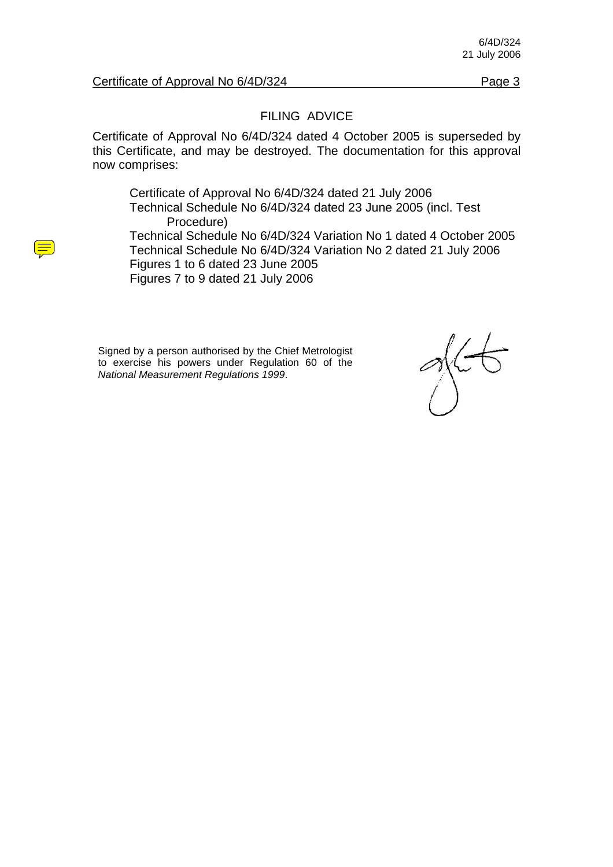#### Certificate of Approval No 6/4D/324 Page 3

#### FILING ADVICE

Certificate of Approval No 6/4D/324 dated 4 October 2005 is superseded by this Certificate, and may be destroyed. The documentation for this approval now comprises:

Certificate of Approval No 6/4D/324 dated 21 July 2006 Technical Schedule No 6/4D/324 dated 23 June 2005 (incl. Test Procedure) Technical Schedule No 6/4D/324 Variation No 1 dated 4 October 2005 Technical Schedule No 6/4D/324 Variation No 2 dated 21 July 2006 Figures 1 to 6 dated 23 June 2005 Figures 7 to 9 dated 21 July 2006

Signed by a person authorised by the Chief Metrologist to exercise his powers under Regulation 60 of the *National Measurement Regulations 1999*.

 $\frac{1}{2}$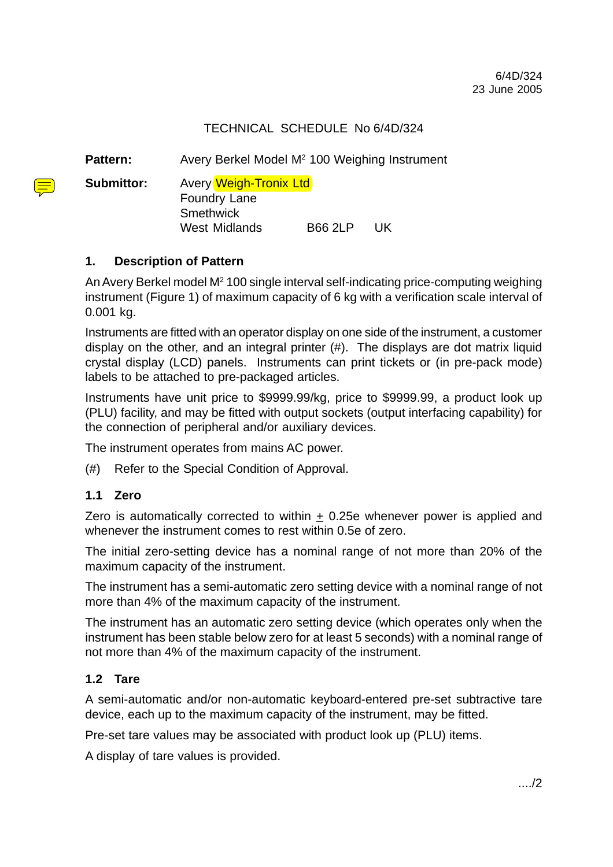#### TECHNICAL SCHEDULE No 6/4D/324

Pattern: Avery Berkel Model M<sup>2</sup> 100 Weighing Instrument

**Submittor:** Avery Weigh-Tronix Ltd

Foundry Lane **Smethwick** West Midlands B66 2LP UK

#### **1. Description of Pattern**

An Avery Berkel model M<sup>2</sup> 100 single interval self-indicating price-computing weighing instrument (Figure 1) of maximum capacity of 6 kg with a verification scale interval of 0.001 kg.

Instruments are fitted with an operator display on one side of the instrument, a customer display on the other, and an integral printer (#). The displays are dot matrix liquid crystal display (LCD) panels. Instruments can print tickets or (in pre-pack mode) labels to be attached to pre-packaged articles.

Instruments have unit price to \$9999.99/kg, price to \$9999.99, a product look up (PLU) facility, and may be fitted with output sockets (output interfacing capability) for the connection of peripheral and/or auxiliary devices.

The instrument operates from mains AC power.

(#) Refer to the Special Condition of Approval.

#### **1.1 Zero**

Zero is automatically corrected to within + 0.25e whenever power is applied and whenever the instrument comes to rest within 0.5e of zero.

The initial zero-setting device has a nominal range of not more than 20% of the maximum capacity of the instrument.

The instrument has a semi-automatic zero setting device with a nominal range of not more than 4% of the maximum capacity of the instrument.

The instrument has an automatic zero setting device (which operates only when the instrument has been stable below zero for at least 5 seconds) with a nominal range of not more than 4% of the maximum capacity of the instrument.

#### **1.2 Tare**

A semi-automatic and/or non-automatic keyboard-entered pre-set subtractive tare device, each up to the maximum capacity of the instrument, may be fitted.

Pre-set tare values may be associated with product look up (PLU) items.

A display of tare values is provided.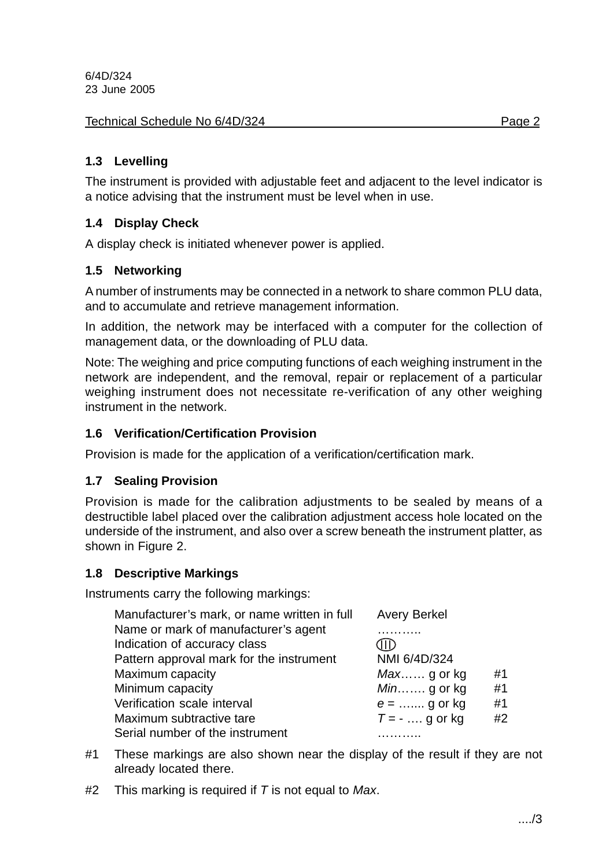#### Technical Schedule No 6/4D/324 Page 2

#### **1.3 Levelling**

The instrument is provided with adjustable feet and adjacent to the level indicator is a notice advising that the instrument must be level when in use.

#### **1.4 Display Check**

A display check is initiated whenever power is applied.

#### **1.5 Networking**

A number of instruments may be connected in a network to share common PLU data, and to accumulate and retrieve management information.

In addition, the network may be interfaced with a computer for the collection of management data, or the downloading of PLU data.

Note: The weighing and price computing functions of each weighing instrument in the network are independent, and the removal, repair or replacement of a particular weighing instrument does not necessitate re-verification of any other weighing instrument in the network.

#### **1.6 Verification/Certification Provision**

Provision is made for the application of a verification/certification mark.

#### **1.7 Sealing Provision**

Provision is made for the calibration adjustments to be sealed by means of a destructible label placed over the calibration adjustment access hole located on the underside of the instrument, and also over a screw beneath the instrument platter, as shown in Figure 2.

#### **1.8 Descriptive Markings**

Instruments carry the following markings:

| Manufacturer's mark, or name written in full | <b>Avery Berkel</b> |    |
|----------------------------------------------|---------------------|----|
| Name or mark of manufacturer's agent         |                     |    |
| Indication of accuracy class                 |                     |    |
| Pattern approval mark for the instrument     | NMI 6/4D/324        |    |
| Maximum capacity                             | $Max$ g or kg       | #1 |
| Minimum capacity                             | $Min$ g or kg       | #1 |
| Verification scale interval                  | $e =$ g or kg       | #1 |
| Maximum subtractive tare                     | $T = -$ g or kg     | #2 |
| Serial number of the instrument              |                     |    |

- #1 These markings are also shown near the display of the result if they are not already located there.
- #2 This marking is required if *T* is not equal to *Max*.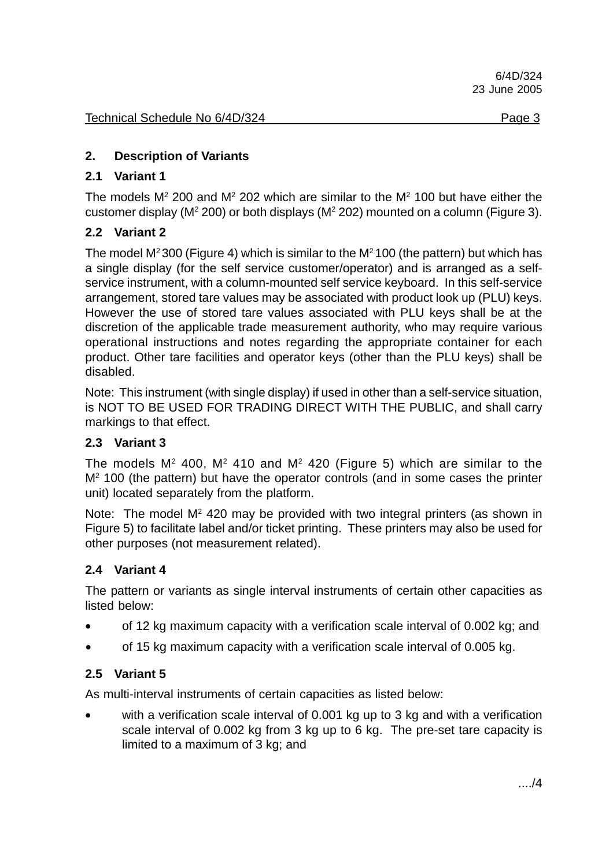#### **2. Description of Variants**

#### **2.1 Variant 1**

The models  $M^2$  200 and  $M^2$  202 which are similar to the  $M^2$  100 but have either the customer display ( $M^2$  200) or both displays ( $M^2$  202) mounted on a column (Figure 3).

#### **2.2 Variant 2**

The model  $M^2$  300 (Figure 4) which is similar to the  $M^2$  100 (the pattern) but which has a single display (for the self service customer/operator) and is arranged as a selfservice instrument, with a column-mounted self service keyboard. In this self-service arrangement, stored tare values may be associated with product look up (PLU) keys. However the use of stored tare values associated with PLU keys shall be at the discretion of the applicable trade measurement authority, who may require various operational instructions and notes regarding the appropriate container for each product. Other tare facilities and operator keys (other than the PLU keys) shall be disabled.

Note: This instrument (with single display) if used in other than a self-service situation, is NOT TO BE USED FOR TRADING DIRECT WITH THE PUBLIC, and shall carry markings to that effect.

#### **2.3 Variant 3**

The models  $M<sup>2</sup>$  400,  $M<sup>2</sup>$  410 and  $M<sup>2</sup>$  420 (Figure 5) which are similar to the M<sup>2</sup> 100 (the pattern) but have the operator controls (and in some cases the printer unit) located separately from the platform.

Note: The model  $M<sup>2</sup>$  420 may be provided with two integral printers (as shown in Figure 5) to facilitate label and/or ticket printing. These printers may also be used for other purposes (not measurement related).

#### **2.4 Variant 4**

The pattern or variants as single interval instruments of certain other capacities as listed below:

- of 12 kg maximum capacity with a verification scale interval of 0.002 kg; and
- of 15 kg maximum capacity with a verification scale interval of 0.005 kg.

#### **2.5 Variant 5**

As multi-interval instruments of certain capacities as listed below:

• with a verification scale interval of 0.001 kg up to 3 kg and with a verification scale interval of 0.002 kg from 3 kg up to 6 kg. The pre-set tare capacity is limited to a maximum of 3 kg; and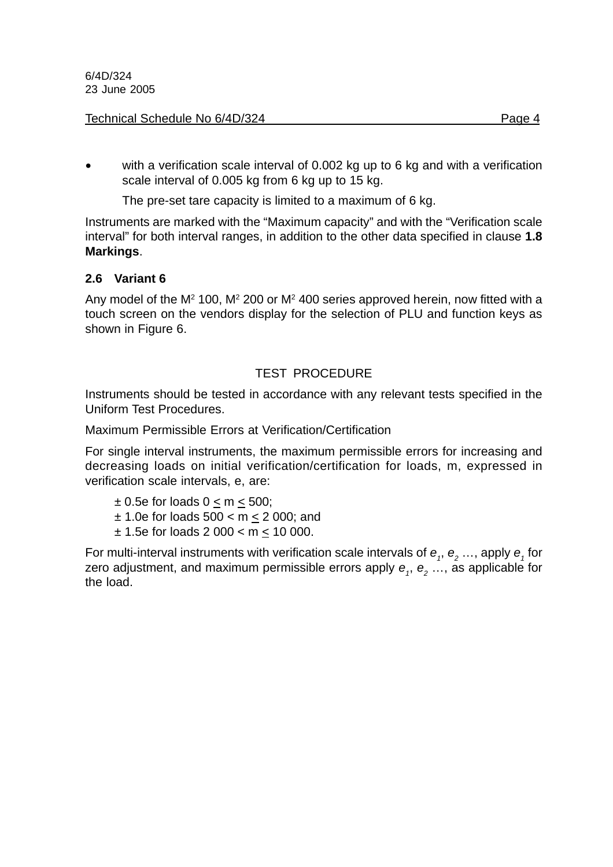#### Technical Schedule No 6/4D/324 **Page 1** Page 4

with a verification scale interval of 0.002 kg up to 6 kg and with a verification scale interval of 0.005 kg from 6 kg up to 15 kg.

The pre-set tare capacity is limited to a maximum of 6 kg.

Instruments are marked with the "Maximum capacity" and with the "Verification scale interval" for both interval ranges, in addition to the other data specified in clause **1.8 Markings**.

#### **2.6 Variant 6**

Any model of the  $M^2$  100,  $M^2$  200 or  $M^2$  400 series approved herein, now fitted with a touch screen on the vendors display for the selection of PLU and function keys as shown in Figure 6.

#### TEST PROCEDURE

Instruments should be tested in accordance with any relevant tests specified in the Uniform Test Procedures.

Maximum Permissible Errors at Verification/Certification

For single interval instruments, the maximum permissible errors for increasing and decreasing loads on initial verification/certification for loads, m, expressed in verification scale intervals, e, are:

- $\pm$  0.5e for loads 0 < m < 500;
- $± 1.0e$  for loads  $500 < m < 2000$ ; and
- $± 1.5e$  for loads 2 000 < m  $\leq$  10 000.

For multi-interval instruments with verification scale intervals of  $e_1$ ,  $e_2$  ..., apply  $e_1$  for zero adjustment, and maximum permissible errors apply  $e_1$ ,  $e_2$ , ..., as applicable for the load.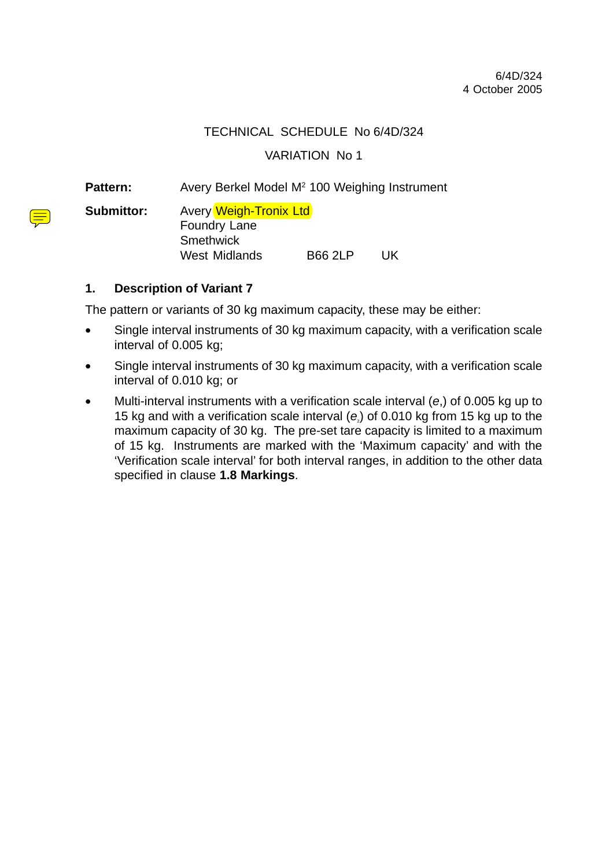#### TECHNICAL SCHEDULE No 6/4D/324

VARIATION No 1

Pattern: Avery Berkel Model M<sup>2</sup> 100 Weighing Instrument

**Submittor:** Avery Weigh-Tronix Ltd Foundry Lane **Smethwick** West Midlands B66 2LP UK

#### **1. Description of Variant 7**

The pattern or variants of 30 kg maximum capacity, these may be either:

- Single interval instruments of 30 kg maximum capacity, with a verification scale interval of 0.005 kg;
- Single interval instruments of 30 kg maximum capacity, with a verification scale interval of 0.010 kg; or
- Multi-interval instruments with a verification scale interval (*e*,) of 0.005 kg up to 15 kg and with a verification scale interval (*e*2) of 0.010 kg from 15 kg up to the maximum capacity of 30 kg. The pre-set tare capacity is limited to a maximum of 15 kg. Instruments are marked with the 'Maximum capacity' and with the 'Verification scale interval' for both interval ranges, in addition to the other data specified in clause **1.8 Markings**.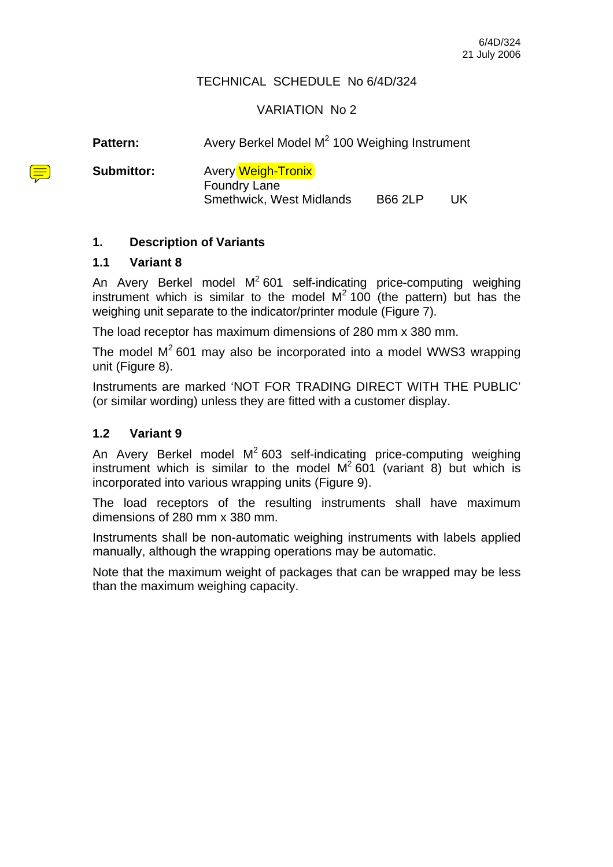#### TECHNICAL SCHEDULE No 6/4D/324

#### VARIATION No 2

| <b>Pattern:</b>   | Avery Berkel Model M <sup>2</sup> 100 Weighing Instrument                                             |  |     |
|-------------------|-------------------------------------------------------------------------------------------------------|--|-----|
| <b>Submittor:</b> | <b>Avery Weigh-Tronix</b><br><b>Foundry Lane</b><br><b>Smethwick, West Midlands</b><br><b>B66 2LP</b> |  | UK. |

#### **1. Description of Variants**

#### **1.1 Variant 8**

An Avery Berkel model  $M^2$  601 self-indicating price-computing weighing instrument which is similar to the model  $M^2$  100 (the pattern) but has the weighing unit separate to the indicator/printer module (Figure 7).

The load receptor has maximum dimensions of 280 mm x 380 mm.

The model  $M^2$  601 may also be incorporated into a model WWS3 wrapping unit (Figure 8).

Instruments are marked 'NOT FOR TRADING DIRECT WITH THE PUBLIC' (or similar wording) unless they are fitted with a customer display.

#### **1.2 Variant 9**

An Avery Berkel model  $M^2$  603 self-indicating price-computing weighing instrument which is similar to the model  $M^2$  601 (variant 8) but which is incorporated into various wrapping units (Figure 9).

The load receptors of the resulting instruments shall have maximum dimensions of 280 mm x 380 mm.

Instruments shall be non-automatic weighing instruments with labels applied manually, although the wrapping operations may be automatic.

Note that the maximum weight of packages that can be wrapped may be less than the maximum weighing capacity.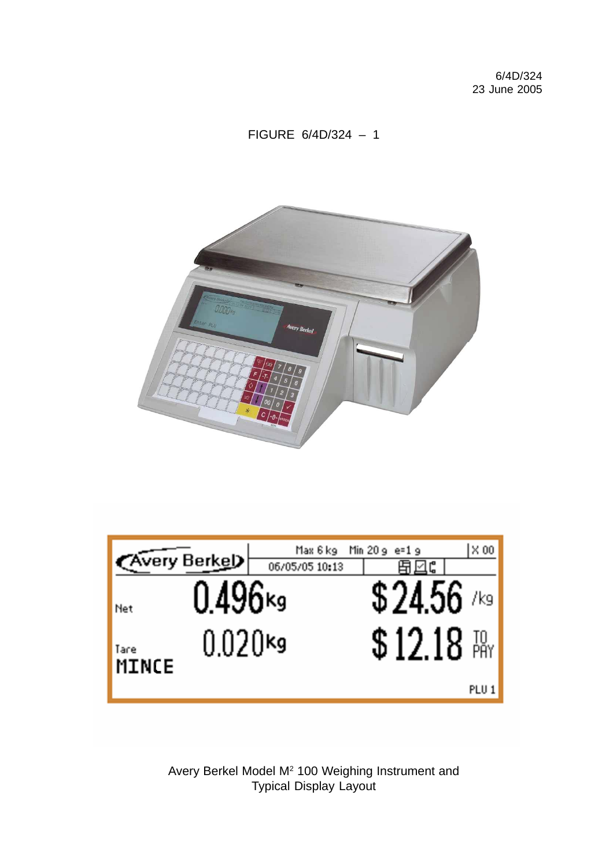### FIGURE 6/4D/324 – 1



| <b>Kvery Berkel</b> |            | Max 6 kg<br>06/05/05 10:13 | Min $20g$ e=1 $g$ |               | $\times 00$      |
|---------------------|------------|----------------------------|-------------------|---------------|------------------|
| Net                 | 0.496×9    |                            |                   | \$24.56 ⁄ /⊵  |                  |
| Tare                | $0.020$ kg |                            |                   | $$12.18$ $\%$ |                  |
| MINCE               |            |                            |                   |               | PLU <sub>1</sub> |

Avery Berkel Model M<sup>2</sup> 100 Weighing Instrument and Typical Display Layout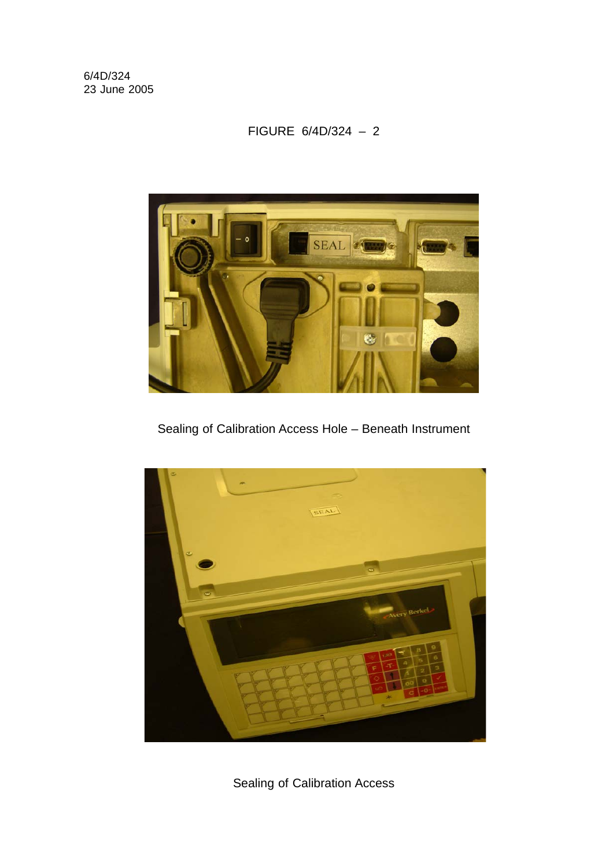#### FIGURE 6/4D/324 – 2



Sealing of Calibration Access Hole – Beneath Instrument



Sealing of Calibration Access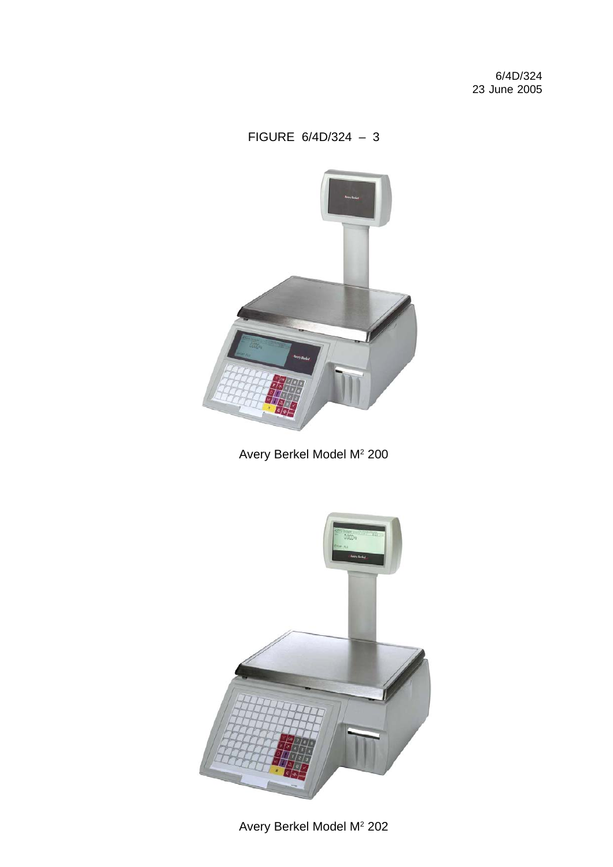### FIGURE 6/4D/324 – 3



Avery Berkel Model M<sup>2</sup> 200



Avery Berkel Model M<sup>2</sup> 202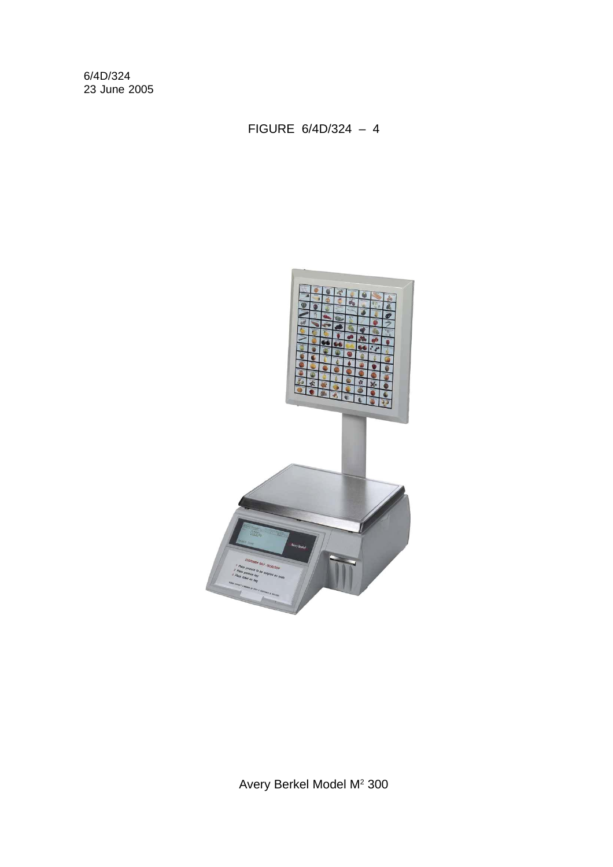FIGURE 6/4D/324 – 4



Avery Berkel Model M<sup>2</sup> 300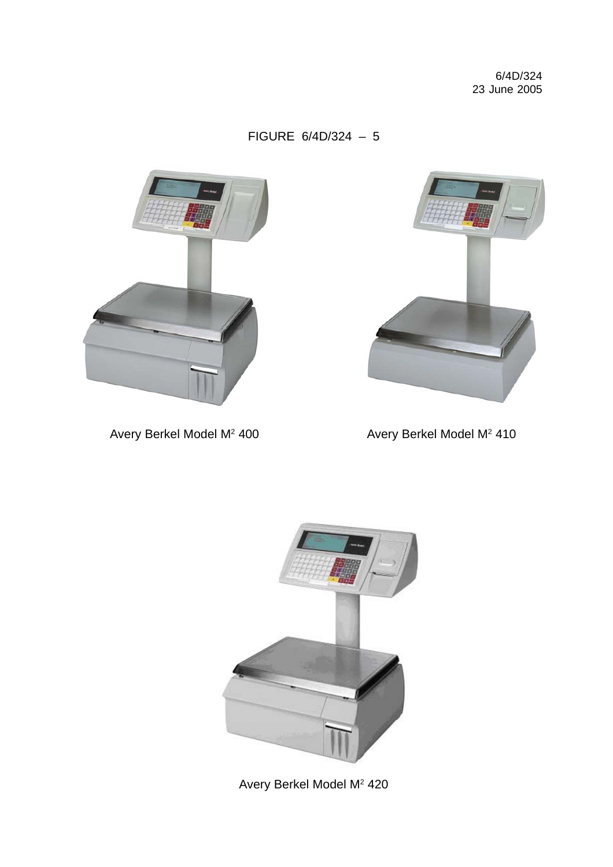FIGURE 6/4D/324 – 5





Avery Berkel Model M<sup>2</sup> 400 **Avery Berkel Model M<sup>2</sup> 410** 



Avery Berkel Model M<sup>2</sup> 420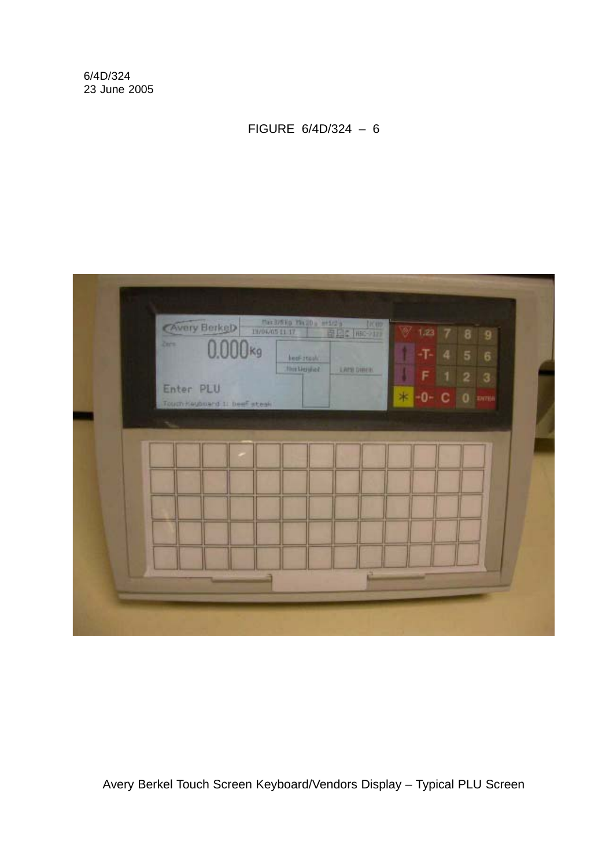FIGURE 6/4D/324 – 6



Avery Berkel Touch Screen Keyboard/Vendors Display – Typical PLU Screen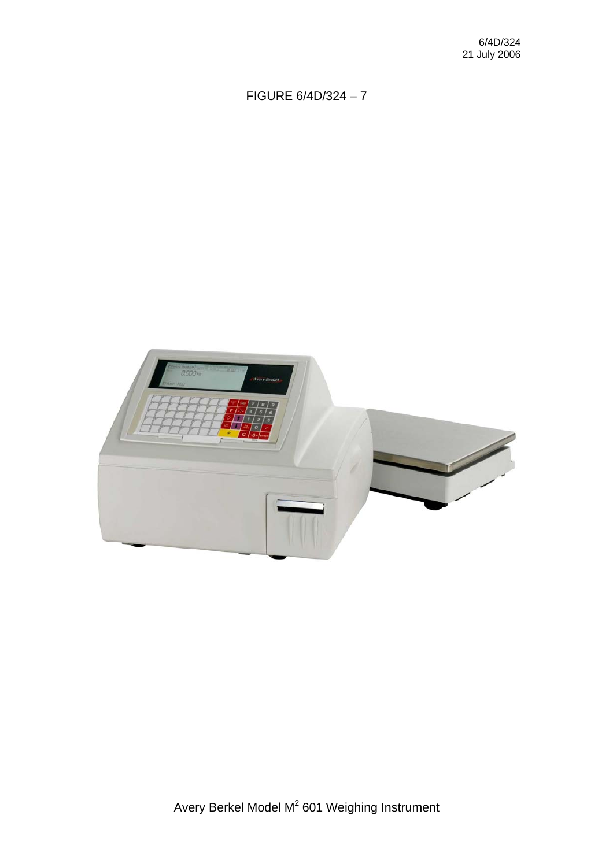## FIGURE 6/4D/324 – 7

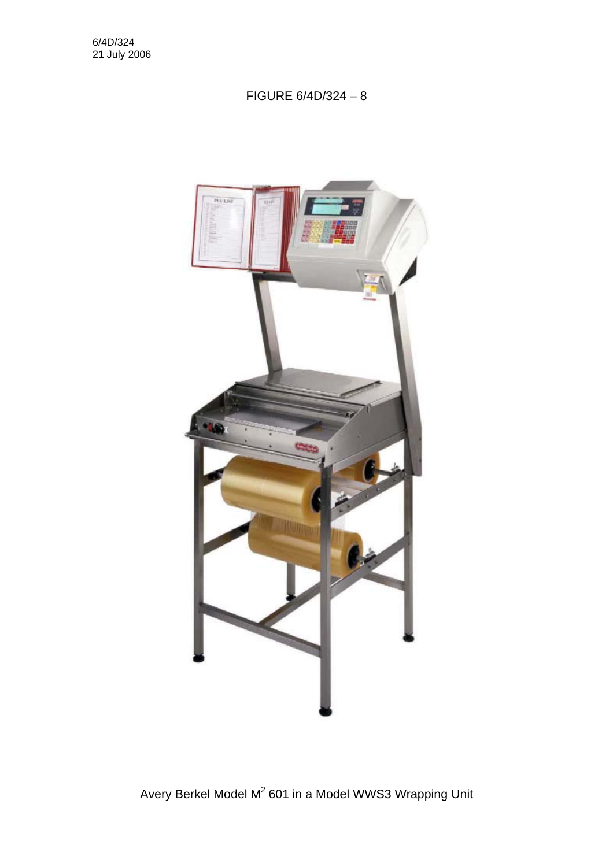#### FIGURE 6/4D/324 – 8